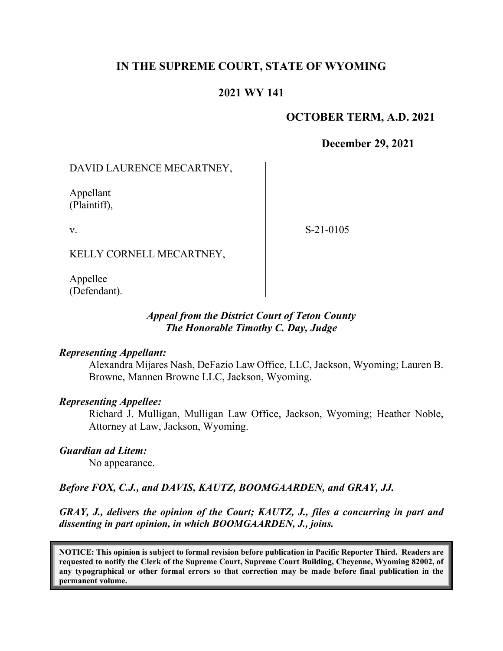## **IN THE SUPREME COURT, STATE OF WYOMING**

## **2021 WY 141**

### **OCTOBER TERM, A.D. 2021**

**December 29, 2021**

### DAVID LAURENCE MECARTNEY,

Appellant (Plaintiff),

v.

S-21-0105

KELLY CORNELL MECARTNEY,

Appellee (Defendant).

### *Appeal from the District Court of Teton County The Honorable Timothy C. Day, Judge*

#### *Representing Appellant:*

Alexandra Mijares Nash, DeFazio Law Office, LLC, Jackson, Wyoming; Lauren B. Browne, Mannen Browne LLC, Jackson, Wyoming.

### *Representing Appellee:*

Richard J. Mulligan, Mulligan Law Office, Jackson, Wyoming; Heather Noble, Attorney at Law, Jackson, Wyoming.

*Guardian ad Litem:*

No appearance.

## *Before FOX, C.J., and DAVIS, KAUTZ, BOOMGAARDEN, and GRAY, JJ.*

*GRAY, J., delivers the opinion of the Court; KAUTZ, J., files a concurring in part and dissenting in part opinion, in which BOOMGAARDEN, J., joins.* 

**NOTICE: This opinion is subject to formal revision before publication in Pacific Reporter Third. Readers are requested to notify the Clerk of the Supreme Court, Supreme Court Building, Cheyenne, Wyoming 82002, of any typographical or other formal errors so that correction may be made before final publication in the permanent volume.**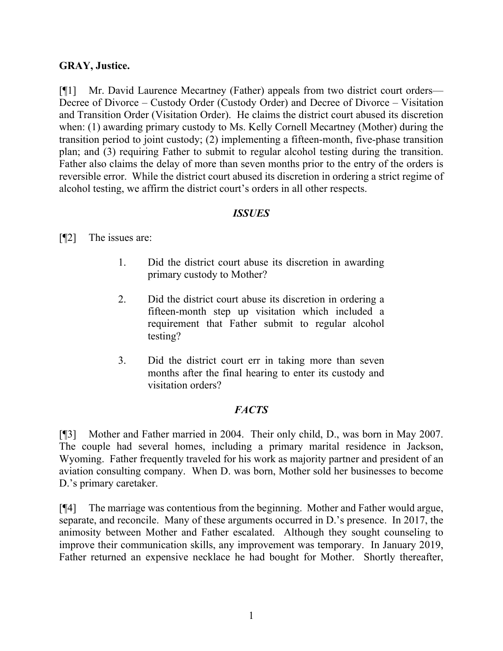## **GRAY, Justice.**

[¶1] Mr. David Laurence Mecartney (Father) appeals from two district court orders— Decree of Divorce – Custody Order (Custody Order) and Decree of Divorce – Visitation and Transition Order (Visitation Order). He claims the district court abused its discretion when: (1) awarding primary custody to Ms. Kelly Cornell Mecartney (Mother) during the transition period to joint custody; (2) implementing a fifteen-month, five-phase transition plan; and (3) requiring Father to submit to regular alcohol testing during the transition. Father also claims the delay of more than seven months prior to the entry of the orders is reversible error. While the district court abused its discretion in ordering a strict regime of alcohol testing, we affirm the district court's orders in all other respects.

### *ISSUES*

### [¶2] The issues are:

- 1. Did the district court abuse its discretion in awarding primary custody to Mother?
- 2. Did the district court abuse its discretion in ordering a fifteen-month step up visitation which included a requirement that Father submit to regular alcohol testing?
- 3. Did the district court err in taking more than seven months after the final hearing to enter its custody and visitation orders?

## *FACTS*

[¶3] Mother and Father married in 2004. Their only child, D., was born in May 2007. The couple had several homes, including a primary marital residence in Jackson, Wyoming. Father frequently traveled for his work as majority partner and president of an aviation consulting company. When D. was born, Mother sold her businesses to become D.'s primary caretaker.

[¶4] The marriage was contentious from the beginning. Mother and Father would argue, separate, and reconcile. Many of these arguments occurred in D.'s presence. In 2017, the animosity between Mother and Father escalated. Although they sought counseling to improve their communication skills, any improvement was temporary. In January 2019, Father returned an expensive necklace he had bought for Mother. Shortly thereafter,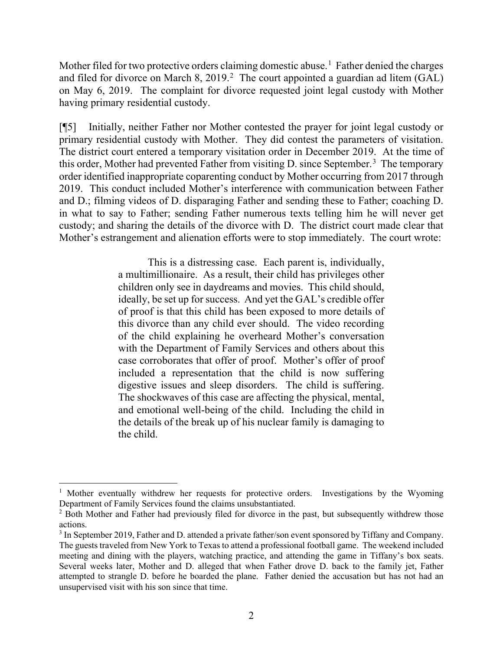Mother filed for two protective orders claiming domestic abuse.<sup>[1](#page-2-0)</sup> Father denied the charges and filed for divorce on March 8, [2](#page-2-1)019.<sup>2</sup> The court appointed a guardian ad litem (GAL) on May 6, 2019. The complaint for divorce requested joint legal custody with Mother having primary residential custody.

[¶5] Initially, neither Father nor Mother contested the prayer for joint legal custody or primary residential custody with Mother. They did contest the parameters of visitation. The district court entered a temporary visitation order in December 2019. At the time of this order, Mother had prevented Father from visiting D. since September.<sup>[3](#page-2-2)</sup> The temporary order identified inappropriate coparenting conduct by Mother occurring from 2017 through 2019. This conduct included Mother's interference with communication between Father and D.; filming videos of D. disparaging Father and sending these to Father; coaching D. in what to say to Father; sending Father numerous texts telling him he will never get custody; and sharing the details of the divorce with D. The district court made clear that Mother's estrangement and alienation efforts were to stop immediately. The court wrote:

> This is a distressing case. Each parent is, individually, a multimillionaire. As a result, their child has privileges other children only see in daydreams and movies. This child should, ideally, be set up for success. And yet the GAL's credible offer of proof is that this child has been exposed to more details of this divorce than any child ever should. The video recording of the child explaining he overheard Mother's conversation with the Department of Family Services and others about this case corroborates that offer of proof. Mother's offer of proof included a representation that the child is now suffering digestive issues and sleep disorders. The child is suffering. The shockwaves of this case are affecting the physical, mental, and emotional well-being of the child. Including the child in the details of the break up of his nuclear family is damaging to the child.

<span id="page-2-0"></span><sup>&</sup>lt;sup>1</sup> Mother eventually withdrew her requests for protective orders. Investigations by the Wyoming Department of Family Services found the claims unsubstantiated.

<span id="page-2-1"></span><sup>&</sup>lt;sup>2</sup> Both Mother and Father had previously filed for divorce in the past, but subsequently withdrew those actions.

<span id="page-2-2"></span><sup>3</sup> In September 2019, Father and D. attended a private father/son event sponsored by Tiffany and Company. The guests traveled from New York to Texas to attend a professional football game. The weekend included meeting and dining with the players, watching practice, and attending the game in Tiffany's box seats. Several weeks later, Mother and D. alleged that when Father drove D. back to the family jet, Father attempted to strangle D. before he boarded the plane. Father denied the accusation but has not had an unsupervised visit with his son since that time.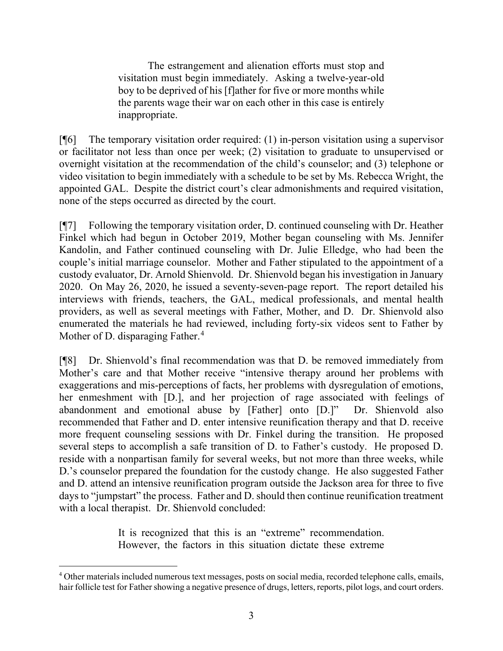The estrangement and alienation efforts must stop and visitation must begin immediately. Asking a twelve-year-old boy to be deprived of his [f]ather for five or more months while the parents wage their war on each other in this case is entirely inappropriate.

 $[\n{\text{\sf T}}[6]$  The temporary visitation order required: (1) in-person visitation using a supervisor or facilitator not less than once per week; (2) visitation to graduate to unsupervised or overnight visitation at the recommendation of the child's counselor; and (3) telephone or video visitation to begin immediately with a schedule to be set by Ms. Rebecca Wright, the appointed GAL. Despite the district court's clear admonishments and required visitation, none of the steps occurred as directed by the court.

[¶7] Following the temporary visitation order, D. continued counseling with Dr. Heather Finkel which had begun in October 2019, Mother began counseling with Ms. Jennifer Kandolin, and Father continued counseling with Dr. Julie Elledge, who had been the couple's initial marriage counselor. Mother and Father stipulated to the appointment of a custody evaluator, Dr. Arnold Shienvold. Dr. Shienvold began his investigation in January 2020. On May 26, 2020, he issued a seventy-seven-page report. The report detailed his interviews with friends, teachers, the GAL, medical professionals, and mental health providers, as well as several meetings with Father, Mother, and D. Dr. Shienvold also enumerated the materials he had reviewed, including forty-six videos sent to Father by Mother of D. disparaging Father.<sup>[4](#page-3-0)</sup>

[¶8] Dr. Shienvold's final recommendation was that D. be removed immediately from Mother's care and that Mother receive "intensive therapy around her problems with exaggerations and mis-perceptions of facts, her problems with dysregulation of emotions, her enmeshment with [D.], and her projection of rage associated with feelings of abandonment and emotional abuse by [Father] onto [D.]" Dr. Shienvold also recommended that Father and D. enter intensive reunification therapy and that D. receive more frequent counseling sessions with Dr. Finkel during the transition. He proposed several steps to accomplish a safe transition of D. to Father's custody. He proposed D. reside with a nonpartisan family for several weeks, but not more than three weeks, while D.'s counselor prepared the foundation for the custody change. He also suggested Father and D. attend an intensive reunification program outside the Jackson area for three to five days to "jumpstart" the process. Father and D. should then continue reunification treatment with a local therapist. Dr. Shienvold concluded:

> It is recognized that this is an "extreme" recommendation. However, the factors in this situation dictate these extreme

<span id="page-3-0"></span><sup>4</sup> Other materials included numerous text messages, posts on social media, recorded telephone calls, emails, hair follicle test for Father showing a negative presence of drugs, letters, reports, pilot logs, and court orders.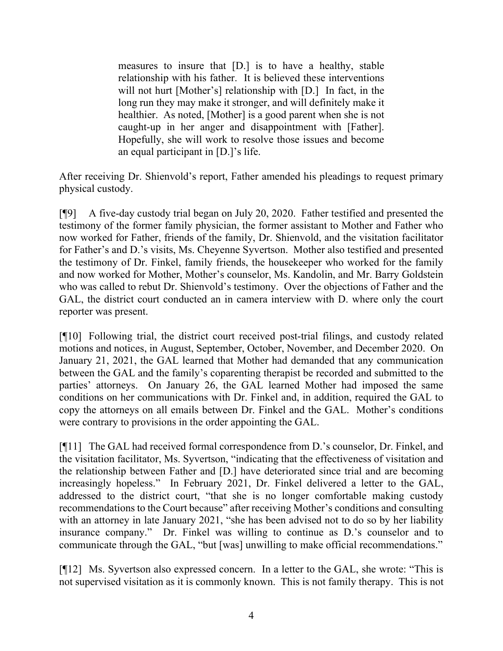measures to insure that [D.] is to have a healthy, stable relationship with his father. It is believed these interventions will not hurt [Mother's] relationship with [D.] In fact, in the long run they may make it stronger, and will definitely make it healthier. As noted, [Mother] is a good parent when she is not caught-up in her anger and disappointment with [Father]. Hopefully, she will work to resolve those issues and become an equal participant in [D.]'s life.

After receiving Dr. Shienvold's report, Father amended his pleadings to request primary physical custody.

[¶9] A five-day custody trial began on July 20, 2020. Father testified and presented the testimony of the former family physician, the former assistant to Mother and Father who now worked for Father, friends of the family, Dr. Shienvold, and the visitation facilitator for Father's and D.'s visits, Ms. Cheyenne Syvertson. Mother also testified and presented the testimony of Dr. Finkel, family friends, the housekeeper who worked for the family and now worked for Mother, Mother's counselor, Ms. Kandolin, and Mr. Barry Goldstein who was called to rebut Dr. Shienvold's testimony. Over the objections of Father and the GAL, the district court conducted an in camera interview with D. where only the court reporter was present.

[¶10] Following trial, the district court received post-trial filings, and custody related motions and notices, in August, September, October, November, and December 2020. On January 21, 2021, the GAL learned that Mother had demanded that any communication between the GAL and the family's coparenting therapist be recorded and submitted to the parties' attorneys. On January 26, the GAL learned Mother had imposed the same conditions on her communications with Dr. Finkel and, in addition, required the GAL to copy the attorneys on all emails between Dr. Finkel and the GAL. Mother's conditions were contrary to provisions in the order appointing the GAL.

[¶11] The GAL had received formal correspondence from D.'s counselor, Dr. Finkel, and the visitation facilitator, Ms. Syvertson, "indicating that the effectiveness of visitation and the relationship between Father and [D.] have deteriorated since trial and are becoming increasingly hopeless." In February 2021, Dr. Finkel delivered a letter to the GAL, addressed to the district court, "that she is no longer comfortable making custody recommendations to the Court because" after receiving Mother's conditions and consulting with an attorney in late January 2021, "she has been advised not to do so by her liability insurance company." Dr. Finkel was willing to continue as D.'s counselor and to communicate through the GAL, "but [was] unwilling to make official recommendations."

[¶12] Ms. Syvertson also expressed concern. In a letter to the GAL, she wrote: "This is not supervised visitation as it is commonly known. This is not family therapy. This is not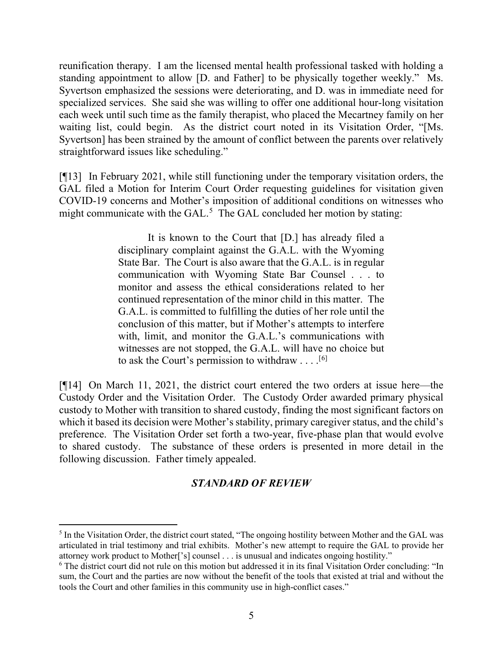reunification therapy. I am the licensed mental health professional tasked with holding a standing appointment to allow [D. and Father] to be physically together weekly." Ms. Syvertson emphasized the sessions were deteriorating, and D. was in immediate need for specialized services. She said she was willing to offer one additional hour-long visitation each week until such time as the family therapist, who placed the Mecartney family on her waiting list, could begin. As the district court noted in its Visitation Order, "[Ms. Syvertson] has been strained by the amount of conflict between the parents over relatively straightforward issues like scheduling."

[¶13] In February 2021, while still functioning under the temporary visitation orders, the GAL filed a Motion for Interim Court Order requesting guidelines for visitation given COVID-19 concerns and Mother's imposition of additional conditions on witnesses who might communicate with the GAL. $<sup>5</sup>$  $<sup>5</sup>$  $<sup>5</sup>$  The GAL concluded her motion by stating:</sup>

> It is known to the Court that [D.] has already filed a disciplinary complaint against the G.A.L. with the Wyoming State Bar. The Court is also aware that the G.A.L. is in regular communication with Wyoming State Bar Counsel . . . to monitor and assess the ethical considerations related to her continued representation of the minor child in this matter. The G.A.L. is committed to fulfilling the duties of her role until the conclusion of this matter, but if Mother's attempts to interfere with, limit, and monitor the G.A.L.'s communications with witnesses are not stopped, the G.A.L. will have no choice but to ask the Court's permission to withdraw . . . .  $[6]$  $[6]$

[¶14] On March 11, 2021, the district court entered the two orders at issue here—the Custody Order and the Visitation Order. The Custody Order awarded primary physical custody to Mother with transition to shared custody, finding the most significant factors on which it based its decision were Mother's stability, primary caregiver status, and the child's preference. The Visitation Order set forth a two-year, five-phase plan that would evolve to shared custody. The substance of these orders is presented in more detail in the following discussion. Father timely appealed.

## *STANDARD OF REVIEW*

<span id="page-5-0"></span><sup>&</sup>lt;sup>5</sup> In the Visitation Order, the district court stated, "The ongoing hostility between Mother and the GAL was articulated in trial testimony and trial exhibits. Mother's new attempt to require the GAL to provide her attorney work product to Mother['s] counsel . . . is unusual and indicates ongoing hostility."

<span id="page-5-1"></span><sup>6</sup> The district court did not rule on this motion but addressed it in its final Visitation Order concluding: "In sum, the Court and the parties are now without the benefit of the tools that existed at trial and without the tools the Court and other families in this community use in high-conflict cases."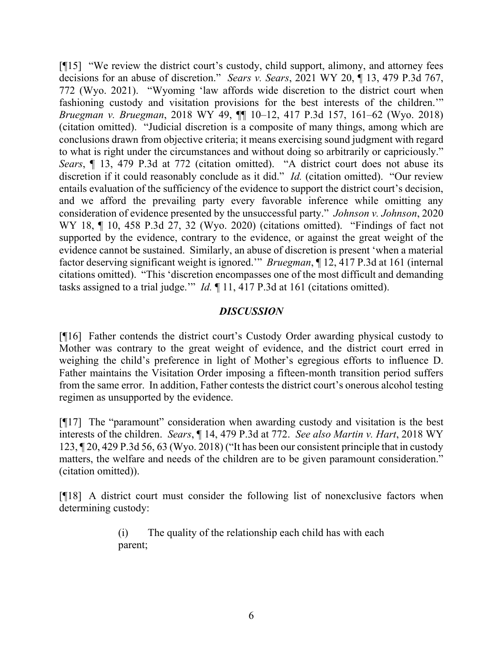[¶15] "We review the district court's custody, child support, alimony, and attorney fees decisions for an abuse of discretion." *Sears v. Sears*, 2021 WY 20, ¶ 13, 479 P.3d 767, 772 (Wyo. 2021). "Wyoming 'law affords wide discretion to the district court when fashioning custody and visitation provisions for the best interests of the children.'" *Bruegman v. Bruegman*, 2018 WY 49, ¶¶ 10–12, 417 P.3d 157, 161–62 (Wyo. 2018) (citation omitted). "Judicial discretion is a composite of many things, among which are conclusions drawn from objective criteria; it means exercising sound judgment with regard to what is right under the circumstances and without doing so arbitrarily or capriciously." *Sears*, ¶ 13, 479 P.3d at 772 (citation omitted). "A district court does not abuse its discretion if it could reasonably conclude as it did." *Id.* (citation omitted). "Our review entails evaluation of the sufficiency of the evidence to support the district court's decision, and we afford the prevailing party every favorable inference while omitting any consideration of evidence presented by the unsuccessful party." *Johnson v. Johnson*, 2020 WY 18, ¶ 10, 458 P.3d 27, 32 (Wyo. 2020) (citations omitted). "Findings of fact not supported by the evidence, contrary to the evidence, or against the great weight of the evidence cannot be sustained. Similarly, an abuse of discretion is present 'when a material factor deserving significant weight is ignored.'" *Bruegman*, ¶ 12, 417 P.3d at 161 (internal citations omitted). "This 'discretion encompasses one of the most difficult and demanding tasks assigned to a trial judge.'" *Id.* ¶ 11, 417 P.3d at 161 (citations omitted).

### *DISCUSSION*

[¶16] Father contends the district court's Custody Order awarding physical custody to Mother was contrary to the great weight of evidence, and the district court erred in weighing the child's preference in light of Mother's egregious efforts to influence D. Father maintains the Visitation Order imposing a fifteen-month transition period suffers from the same error. In addition, Father contests the district court's onerous alcohol testing regimen as unsupported by the evidence.

[¶17] The "paramount" consideration when awarding custody and visitation is the best interests of the children. *Sears*, ¶ 14, 479 P.3d at 772. *See also Martin v. Hart*, 2018 WY 123, ¶ 20, 429 P.3d 56, 63 (Wyo. 2018) ("It has been our consistent principle that in custody matters, the welfare and needs of the children are to be given paramount consideration." (citation omitted)).

[¶18] A district court must consider the following list of nonexclusive factors when determining custody:

> (i) The quality of the relationship each child has with each parent;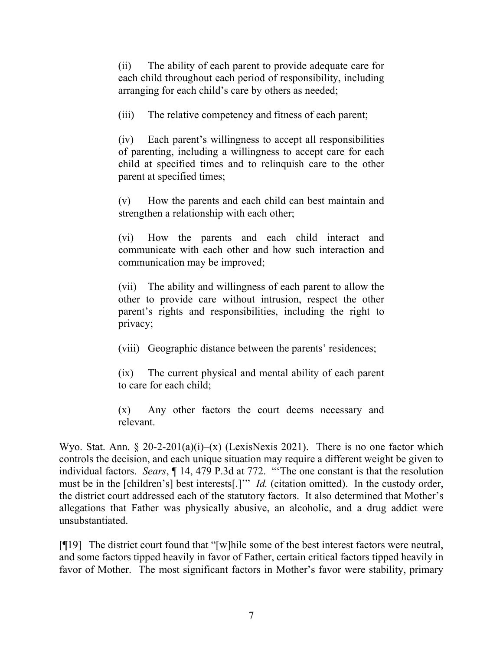(ii) The ability of each parent to provide adequate care for each child throughout each period of responsibility, including arranging for each child's care by others as needed;

(iii) The relative competency and fitness of each parent;

(iv) Each parent's willingness to accept all responsibilities of parenting, including a willingness to accept care for each child at specified times and to relinquish care to the other parent at specified times;

(v) How the parents and each child can best maintain and strengthen a relationship with each other;

(vi) How the parents and each child interact and communicate with each other and how such interaction and communication may be improved;

(vii) The ability and willingness of each parent to allow the other to provide care without intrusion, respect the other parent's rights and responsibilities, including the right to privacy;

(viii) Geographic distance between the parents' residences;

(ix) The current physical and mental ability of each parent to care for each child;

(x) Any other factors the court deems necessary and relevant.

Wyo. Stat. Ann. § 20-2-201(a)(i)–(x) (LexisNexis 2021). There is no one factor which controls the decision, and each unique situation may require a different weight be given to individual factors. *Sears*, ¶ 14, 479 P.3d at 772. "'The one constant is that the resolution must be in the [children's] best interests[.]'" *Id.* (citation omitted). In the custody order, the district court addressed each of the statutory factors. It also determined that Mother's allegations that Father was physically abusive, an alcoholic, and a drug addict were unsubstantiated.

[¶19] The district court found that "[w]hile some of the best interest factors were neutral, and some factors tipped heavily in favor of Father, certain critical factors tipped heavily in favor of Mother. The most significant factors in Mother's favor were stability, primary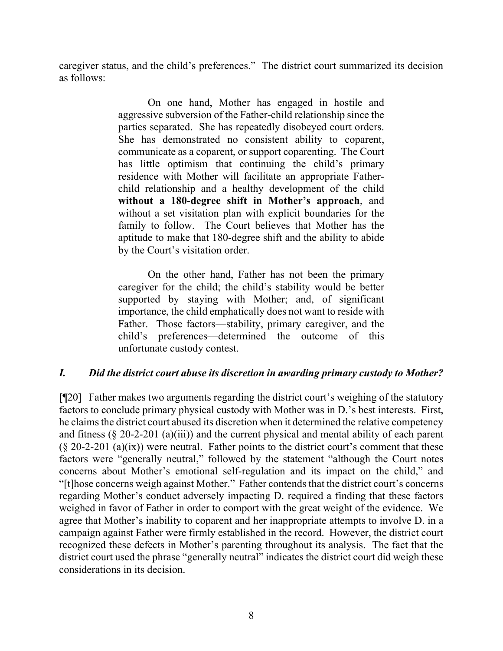caregiver status, and the child's preferences." The district court summarized its decision as follows:

> On one hand, Mother has engaged in hostile and aggressive subversion of the Father-child relationship since the parties separated. She has repeatedly disobeyed court orders. She has demonstrated no consistent ability to coparent, communicate as a coparent, or support coparenting. The Court has little optimism that continuing the child's primary residence with Mother will facilitate an appropriate Fatherchild relationship and a healthy development of the child **without a 180-degree shift in Mother's approach**, and without a set visitation plan with explicit boundaries for the family to follow. The Court believes that Mother has the aptitude to make that 180-degree shift and the ability to abide by the Court's visitation order.

> On the other hand, Father has not been the primary caregiver for the child; the child's stability would be better supported by staying with Mother; and, of significant importance, the child emphatically does not want to reside with Father. Those factors—stability, primary caregiver, and the child's preferences—determined the outcome of this unfortunate custody contest.

## *I. Did the district court abuse its discretion in awarding primary custody to Mother?*

[¶20] Father makes two arguments regarding the district court's weighing of the statutory factors to conclude primary physical custody with Mother was in D.'s best interests. First, he claims the district court abused its discretion when it determined the relative competency and fitness (§ 20-2-201 (a)(iii)) and the current physical and mental ability of each parent  $(\S$  20-2-201 (a)(ix)) were neutral. Father points to the district court's comment that these factors were "generally neutral," followed by the statement "although the Court notes concerns about Mother's emotional self-regulation and its impact on the child," and "[t]hose concerns weigh against Mother." Father contends that the district court's concerns regarding Mother's conduct adversely impacting D. required a finding that these factors weighed in favor of Father in order to comport with the great weight of the evidence. We agree that Mother's inability to coparent and her inappropriate attempts to involve D. in a campaign against Father were firmly established in the record. However, the district court recognized these defects in Mother's parenting throughout its analysis. The fact that the district court used the phrase "generally neutral" indicates the district court did weigh these considerations in its decision.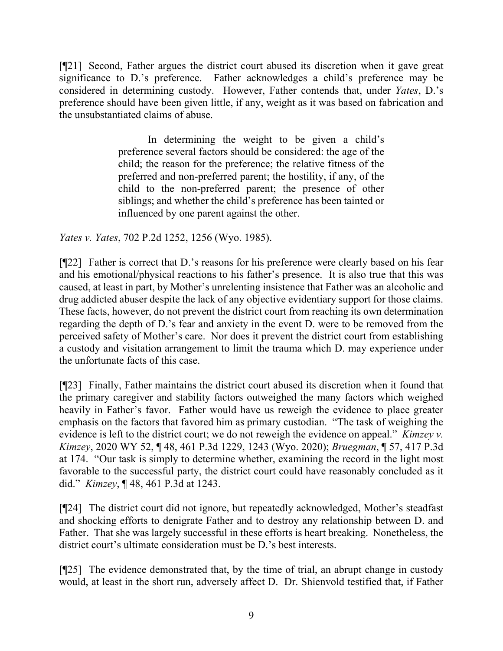[¶21] Second, Father argues the district court abused its discretion when it gave great significance to D.'s preference. Father acknowledges a child's preference may be considered in determining custody. However, Father contends that, under *Yates*, D.'s preference should have been given little, if any, weight as it was based on fabrication and the unsubstantiated claims of abuse.

> In determining the weight to be given a child's preference several factors should be considered: the age of the child; the reason for the preference; the relative fitness of the preferred and non-preferred parent; the hostility, if any, of the child to the non-preferred parent; the presence of other siblings; and whether the child's preference has been tainted or influenced by one parent against the other.

*Yates v. Yates*, 702 P.2d 1252, 1256 (Wyo. 1985).

[¶22] Father is correct that D.'s reasons for his preference were clearly based on his fear and his emotional/physical reactions to his father's presence. It is also true that this was caused, at least in part, by Mother's unrelenting insistence that Father was an alcoholic and drug addicted abuser despite the lack of any objective evidentiary support for those claims. These facts, however, do not prevent the district court from reaching its own determination regarding the depth of D.'s fear and anxiety in the event D. were to be removed from the perceived safety of Mother's care. Nor does it prevent the district court from establishing a custody and visitation arrangement to limit the trauma which D. may experience under the unfortunate facts of this case.

[¶23] Finally, Father maintains the district court abused its discretion when it found that the primary caregiver and stability factors outweighed the many factors which weighed heavily in Father's favor. Father would have us reweigh the evidence to place greater emphasis on the factors that favored him as primary custodian. "The task of weighing the evidence is left to the district court; we do not reweigh the evidence on appeal." *Kimzey v. Kimzey*, 2020 WY 52, ¶ 48, 461 P.3d 1229, 1243 (Wyo. 2020); *Bruegman*, ¶ 57, 417 P.3d at 174. "Our task is simply to determine whether, examining the record in the light most favorable to the successful party, the district court could have reasonably concluded as it did." *Kimzey*, ¶ 48, 461 P.3d at 1243.

[¶24] The district court did not ignore, but repeatedly acknowledged, Mother's steadfast and shocking efforts to denigrate Father and to destroy any relationship between D. and Father. That she was largely successful in these efforts is heart breaking. Nonetheless, the district court's ultimate consideration must be D.'s best interests.

[¶25] The evidence demonstrated that, by the time of trial, an abrupt change in custody would, at least in the short run, adversely affect D. Dr. Shienvold testified that, if Father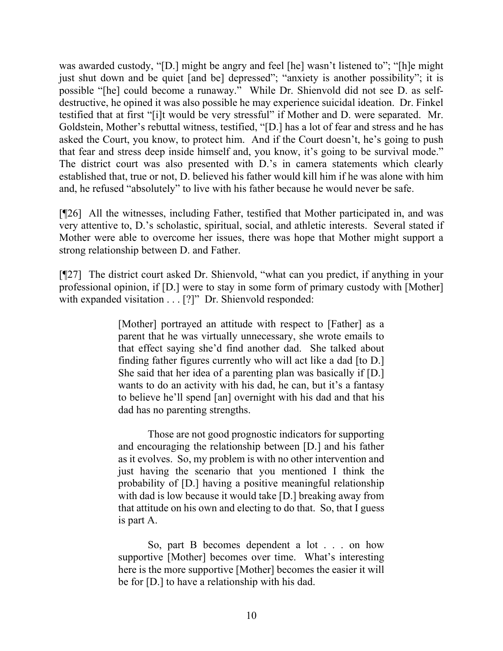was awarded custody, "[D.] might be angry and feel [he] wasn't listened to"; "[h]e might just shut down and be quiet [and be] depressed"; "anxiety is another possibility"; it is possible "[he] could become a runaway." While Dr. Shienvold did not see D. as selfdestructive, he opined it was also possible he may experience suicidal ideation. Dr. Finkel testified that at first "[i]t would be very stressful" if Mother and D. were separated. Mr. Goldstein, Mother's rebuttal witness, testified, "[D.] has a lot of fear and stress and he has asked the Court, you know, to protect him. And if the Court doesn't, he's going to push that fear and stress deep inside himself and, you know, it's going to be survival mode." The district court was also presented with D.'s in camera statements which clearly established that, true or not, D. believed his father would kill him if he was alone with him and, he refused "absolutely" to live with his father because he would never be safe.

[¶26] All the witnesses, including Father, testified that Mother participated in, and was very attentive to, D.'s scholastic, spiritual, social, and athletic interests. Several stated if Mother were able to overcome her issues, there was hope that Mother might support a strong relationship between D. and Father.

[¶27] The district court asked Dr. Shienvold, "what can you predict, if anything in your professional opinion, if [D.] were to stay in some form of primary custody with [Mother] with expanded visitation . . . [?]" Dr. Shienvold responded:

> [Mother] portrayed an attitude with respect to [Father] as a parent that he was virtually unnecessary, she wrote emails to that effect saying she'd find another dad. She talked about finding father figures currently who will act like a dad [to D.] She said that her idea of a parenting plan was basically if [D.] wants to do an activity with his dad, he can, but it's a fantasy to believe he'll spend [an] overnight with his dad and that his dad has no parenting strengths.

> Those are not good prognostic indicators for supporting and encouraging the relationship between [D.] and his father as it evolves. So, my problem is with no other intervention and just having the scenario that you mentioned I think the probability of [D.] having a positive meaningful relationship with dad is low because it would take [D.] breaking away from that attitude on his own and electing to do that. So, that I guess is part A.

> So, part B becomes dependent a lot . . . on how supportive [Mother] becomes over time. What's interesting here is the more supportive [Mother] becomes the easier it will be for [D.] to have a relationship with his dad.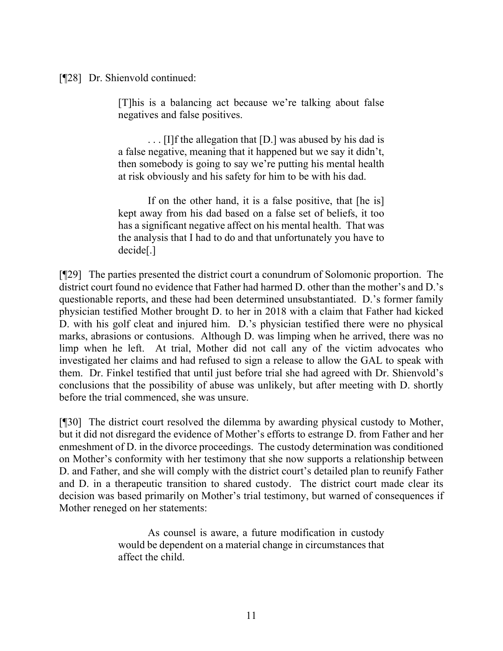[¶28] Dr. Shienvold continued:

[T]his is a balancing act because we're talking about false negatives and false positives.

. . . [I]f the allegation that [D.] was abused by his dad is a false negative, meaning that it happened but we say it didn't, then somebody is going to say we're putting his mental health at risk obviously and his safety for him to be with his dad.

If on the other hand, it is a false positive, that [he is] kept away from his dad based on a false set of beliefs, it too has a significant negative affect on his mental health. That was the analysis that I had to do and that unfortunately you have to decide[.]

[¶29] The parties presented the district court a conundrum of Solomonic proportion. The district court found no evidence that Father had harmed D. other than the mother's and D.'s questionable reports, and these had been determined unsubstantiated. D.'s former family physician testified Mother brought D. to her in 2018 with a claim that Father had kicked D. with his golf cleat and injured him. D.'s physician testified there were no physical marks, abrasions or contusions. Although D. was limping when he arrived, there was no limp when he left. At trial, Mother did not call any of the victim advocates who investigated her claims and had refused to sign a release to allow the GAL to speak with them. Dr. Finkel testified that until just before trial she had agreed with Dr. Shienvold's conclusions that the possibility of abuse was unlikely, but after meeting with D. shortly before the trial commenced, she was unsure.

[¶30] The district court resolved the dilemma by awarding physical custody to Mother, but it did not disregard the evidence of Mother's efforts to estrange D. from Father and her enmeshment of D. in the divorce proceedings. The custody determination was conditioned on Mother's conformity with her testimony that she now supports a relationship between D. and Father, and she will comply with the district court's detailed plan to reunify Father and D. in a therapeutic transition to shared custody. The district court made clear its decision was based primarily on Mother's trial testimony, but warned of consequences if Mother reneged on her statements:

> As counsel is aware, a future modification in custody would be dependent on a material change in circumstances that affect the child.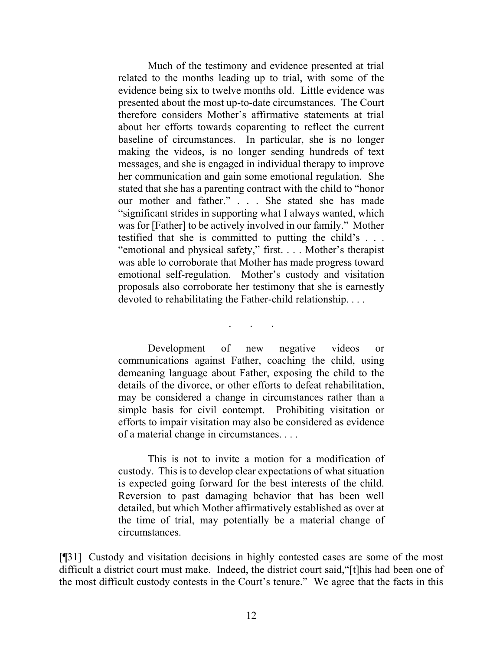Much of the testimony and evidence presented at trial related to the months leading up to trial, with some of the evidence being six to twelve months old. Little evidence was presented about the most up-to-date circumstances. The Court therefore considers Mother's affirmative statements at trial about her efforts towards coparenting to reflect the current baseline of circumstances. In particular, she is no longer making the videos, is no longer sending hundreds of text messages, and she is engaged in individual therapy to improve her communication and gain some emotional regulation. She stated that she has a parenting contract with the child to "honor our mother and father." . . . She stated she has made "significant strides in supporting what I always wanted, which was for [Father] to be actively involved in our family." Mother testified that she is committed to putting the child's . . . "emotional and physical safety," first. . . . Mother's therapist was able to corroborate that Mother has made progress toward emotional self-regulation. Mother's custody and visitation proposals also corroborate her testimony that she is earnestly devoted to rehabilitating the Father-child relationship. . . .

Development of new negative videos or communications against Father, coaching the child, using demeaning language about Father, exposing the child to the details of the divorce, or other efforts to defeat rehabilitation, may be considered a change in circumstances rather than a simple basis for civil contempt. Prohibiting visitation or efforts to impair visitation may also be considered as evidence of a material change in circumstances. . . .

. . .

This is not to invite a motion for a modification of custody. This is to develop clear expectations of what situation is expected going forward for the best interests of the child. Reversion to past damaging behavior that has been well detailed, but which Mother affirmatively established as over at the time of trial, may potentially be a material change of circumstances.

[¶31] Custody and visitation decisions in highly contested cases are some of the most difficult a district court must make. Indeed, the district court said, "[t]his had been one of the most difficult custody contests in the Court's tenure." We agree that the facts in this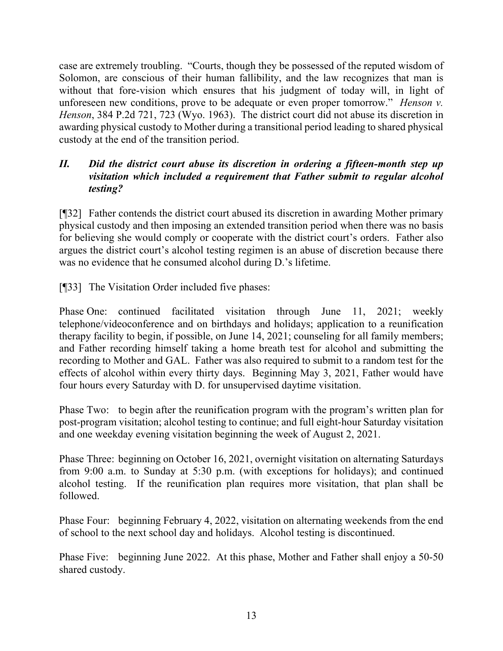case are extremely troubling. "Courts, though they be possessed of the reputed wisdom of Solomon, are conscious of their human fallibility, and the law recognizes that man is without that fore-vision which ensures that his judgment of today will, in light of unforeseen new conditions, prove to be adequate or even proper tomorrow." *Henson v. Henson*, 384 P.2d 721, 723 (Wyo. 1963). The district court did not abuse its discretion in awarding physical custody to Mother during a transitional period leading to shared physical custody at the end of the transition period.

# *II. Did the district court abuse its discretion in ordering a fifteen-month step up visitation which included a requirement that Father submit to regular alcohol testing?*

[¶32] Father contends the district court abused its discretion in awarding Mother primary physical custody and then imposing an extended transition period when there was no basis for believing she would comply or cooperate with the district court's orders. Father also argues the district court's alcohol testing regimen is an abuse of discretion because there was no evidence that he consumed alcohol during D.'s lifetime.

[¶33] The Visitation Order included five phases:

Phase One: continued facilitated visitation through June 11, 2021; weekly telephone/videoconference and on birthdays and holidays; application to a reunification therapy facility to begin, if possible, on June 14, 2021; counseling for all family members; and Father recording himself taking a home breath test for alcohol and submitting the recording to Mother and GAL. Father was also required to submit to a random test for the effects of alcohol within every thirty days. Beginning May 3, 2021, Father would have four hours every Saturday with D. for unsupervised daytime visitation.

Phase Two: to begin after the reunification program with the program's written plan for post-program visitation; alcohol testing to continue; and full eight-hour Saturday visitation and one weekday evening visitation beginning the week of August 2, 2021.

Phase Three: beginning on October 16, 2021, overnight visitation on alternating Saturdays from 9:00 a.m. to Sunday at 5:30 p.m. (with exceptions for holidays); and continued alcohol testing. If the reunification plan requires more visitation, that plan shall be followed.

Phase Four: beginning February 4, 2022, visitation on alternating weekends from the end of school to the next school day and holidays. Alcohol testing is discontinued.

Phase Five: beginning June 2022. At this phase, Mother and Father shall enjoy a 50-50 shared custody.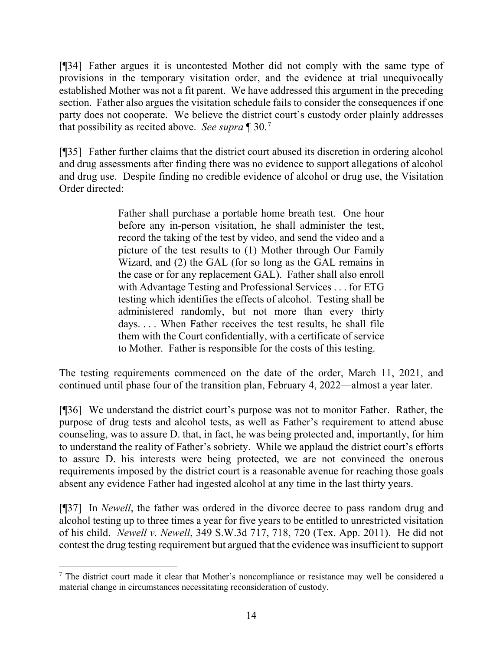[¶34] Father argues it is uncontested Mother did not comply with the same type of provisions in the temporary visitation order, and the evidence at trial unequivocally established Mother was not a fit parent. We have addressed this argument in the preceding section. Father also argues the visitation schedule fails to consider the consequences if one party does not cooperate. We believe the district court's custody order plainly addresses that possibility as recited above. *See supra* ¶ 30. [7](#page-14-0)

[¶35] Father further claims that the district court abused its discretion in ordering alcohol and drug assessments after finding there was no evidence to support allegations of alcohol and drug use. Despite finding no credible evidence of alcohol or drug use, the Visitation Order directed:

> Father shall purchase a portable home breath test. One hour before any in-person visitation, he shall administer the test, record the taking of the test by video, and send the video and a picture of the test results to (1) Mother through Our Family Wizard, and (2) the GAL (for so long as the GAL remains in the case or for any replacement GAL). Father shall also enroll with Advantage Testing and Professional Services . . . for ETG testing which identifies the effects of alcohol. Testing shall be administered randomly, but not more than every thirty days. . . . When Father receives the test results, he shall file them with the Court confidentially, with a certificate of service to Mother. Father is responsible for the costs of this testing.

The testing requirements commenced on the date of the order, March 11, 2021, and continued until phase four of the transition plan, February 4, 2022—almost a year later.

[¶36] We understand the district court's purpose was not to monitor Father. Rather, the purpose of drug tests and alcohol tests, as well as Father's requirement to attend abuse counseling, was to assure D. that, in fact, he was being protected and, importantly, for him to understand the reality of Father's sobriety. While we applaud the district court's efforts to assure D. his interests were being protected, we are not convinced the onerous requirements imposed by the district court is a reasonable avenue for reaching those goals absent any evidence Father had ingested alcohol at any time in the last thirty years.

[¶37] In *Newell*, the father was ordered in the divorce decree to pass random drug and alcohol testing up to three times a year for five years to be entitled to unrestricted visitation of his child. *Newell v. Newell*, 349 S.W.3d 717, 718, 720 (Tex. App. 2011). He did not contest the drug testing requirement but argued that the evidence was insufficient to support

<span id="page-14-0"></span><sup>&</sup>lt;sup>7</sup> The district court made it clear that Mother's noncompliance or resistance may well be considered a material change in circumstances necessitating reconsideration of custody.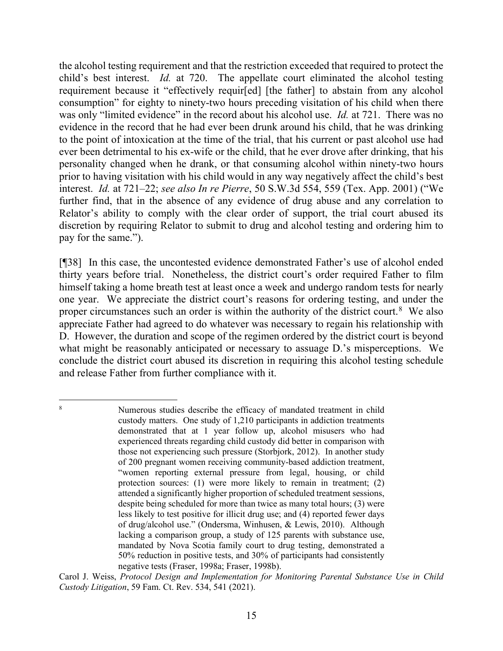the alcohol testing requirement and that the restriction exceeded that required to protect the child's best interest. *Id.* at 720. The appellate court eliminated the alcohol testing requirement because it "effectively requir[ed] [the father] to abstain from any alcohol consumption" for eighty to ninety-two hours preceding visitation of his child when there was only "limited evidence" in the record about his alcohol use. *Id.* at 721. There was no evidence in the record that he had ever been drunk around his child, that he was drinking to the point of intoxication at the time of the trial, that his current or past alcohol use had ever been detrimental to his ex-wife or the child, that he ever drove after drinking, that his personality changed when he drank, or that consuming alcohol within ninety-two hours prior to having visitation with his child would in any way negatively affect the child's best interest. *Id.* at 721–22; *see also In re Pierre*, 50 S.W.3d 554, 559 (Tex. App. 2001) ("We further find, that in the absence of any evidence of drug abuse and any correlation to Relator's ability to comply with the clear order of support, the trial court abused its discretion by requiring Relator to submit to drug and alcohol testing and ordering him to pay for the same.").

[¶38] In this case, the uncontested evidence demonstrated Father's use of alcohol ended thirty years before trial. Nonetheless, the district court's order required Father to film himself taking a home breath test at least once a week and undergo random tests for nearly one year. We appreciate the district court's reasons for ordering testing, and under the proper circumstances such an order is within the authority of the district court.<sup>[8](#page-15-0)</sup> We also appreciate Father had agreed to do whatever was necessary to regain his relationship with D. However, the duration and scope of the regimen ordered by the district court is beyond what might be reasonably anticipated or necessary to assuage D.'s misperceptions. We conclude the district court abused its discretion in requiring this alcohol testing schedule and release Father from further compliance with it.

<span id="page-15-0"></span>Numerous studies describe the efficacy of mandated treatment in child custody matters. One study of 1,210 participants in addiction treatments demonstrated that at 1 year follow up, alcohol misusers who had experienced threats regarding child custody did better in comparison with those not experiencing such pressure (Storbjork, 2012). In another study of 200 pregnant women receiving community-based addiction treatment, "women reporting external pressure from legal, housing, or child protection sources: (1) were more likely to remain in treatment; (2) attended a significantly higher proportion of scheduled treatment sessions, despite being scheduled for more than twice as many total hours; (3) were less likely to test positive for illicit drug use; and (4) reported fewer days of drug/alcohol use." (Ondersma, Winhusen, & Lewis, 2010). Although lacking a comparison group, a study of 125 parents with substance use, mandated by Nova Scotia family court to drug testing, demonstrated a 50% reduction in positive tests, and 30% of participants had consistently negative tests (Fraser, 1998a; Fraser, 1998b).

Carol J. Weiss, *Protocol Design and Implementation for Monitoring Parental Substance Use in Child Custody Litigation*, 59 Fam. Ct. Rev. 534, 541 (2021).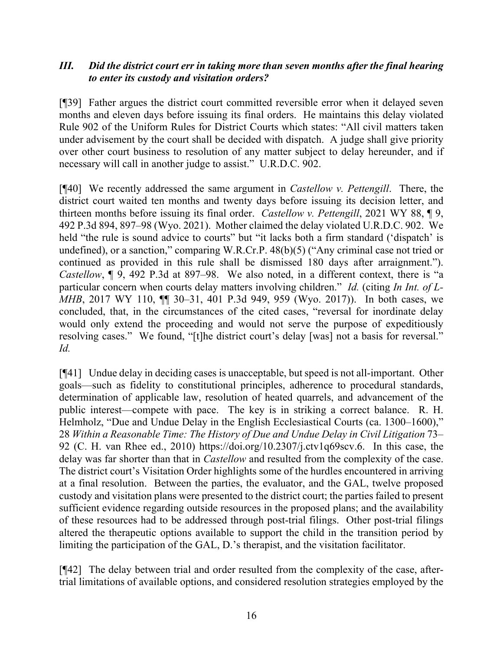## *III. Did the district court err in taking more than seven months after the final hearing to enter its custody and visitation orders?*

[¶39] Father argues the district court committed reversible error when it delayed seven months and eleven days before issuing its final orders. He maintains this delay violated Rule 902 of the Uniform Rules for District Courts which states: "All civil matters taken under advisement by the court shall be decided with dispatch. A judge shall give priority over other court business to resolution of any matter subject to delay hereunder, and if necessary will call in another judge to assist." U.R.D.C. 902.

[¶40] We recently addressed the same argument in *Castellow v. Pettengill*. There, the district court waited ten months and twenty days before issuing its decision letter, and thirteen months before issuing its final order. *Castellow v. Pettengill*, 2021 WY 88, ¶ 9, 492 P.3d 894, 897–98 (Wyo. 2021). Mother claimed the delay violated U.R.D.C. 902. We held "the rule is sound advice to courts" but "it lacks both a firm standard ('dispatch' is undefined), or a sanction," comparing W.R.Cr.P. 48(b)(5) ("Any criminal case not tried or continued as provided in this rule shall be dismissed 180 days after arraignment."). *Castellow*, ¶ 9, 492 P.3d at 897–98. We also noted, in a different context, there is "a particular concern when courts delay matters involving children." *Id.* (citing *In Int. of L-MHB*, 2017 WY 110,  $\P$  30–31, 401 P.3d 949, 959 (Wyo. 2017)). In both cases, we concluded, that, in the circumstances of the cited cases, "reversal for inordinate delay would only extend the proceeding and would not serve the purpose of expeditiously resolving cases." We found, "[t]he district court's delay [was] not a basis for reversal." *Id.*

[¶41] Undue delay in deciding cases is unacceptable, but speed is not all-important. Other goals—such as fidelity to constitutional principles, adherence to procedural standards, determination of applicable law, resolution of heated quarrels, and advancement of the public interest—compete with pace. The key is in striking a correct balance. R. H. Helmholz, "Due and Undue Delay in the English Ecclesiastical Courts (ca. 1300–1600)," 28 *Within a Reasonable Time: The History of Due and Undue Delay in Civil Litigation* 73– 92 (C. H. van Rhee ed., 2010) https://doi.org/10.2307/j.ctv1q69scv.6. In this case, the delay was far shorter than that in *Castellow* and resulted from the complexity of the case. The district court's Visitation Order highlights some of the hurdles encountered in arriving at a final resolution. Between the parties, the evaluator, and the GAL, twelve proposed custody and visitation plans were presented to the district court; the parties failed to present sufficient evidence regarding outside resources in the proposed plans; and the availability of these resources had to be addressed through post-trial filings. Other post-trial filings altered the therapeutic options available to support the child in the transition period by limiting the participation of the GAL, D.'s therapist, and the visitation facilitator.

[¶42] The delay between trial and order resulted from the complexity of the case, aftertrial limitations of available options, and considered resolution strategies employed by the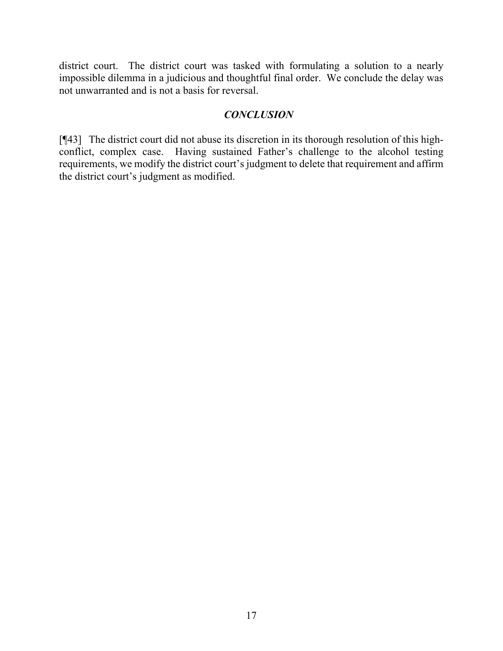district court. The district court was tasked with formulating a solution to a nearly impossible dilemma in a judicious and thoughtful final order. We conclude the delay was not unwarranted and is not a basis for reversal.

### *CONCLUSION*

[¶43] The district court did not abuse its discretion in its thorough resolution of this highconflict, complex case. Having sustained Father's challenge to the alcohol testing requirements, we modify the district court's judgment to delete that requirement and affirm the district court's judgment as modified.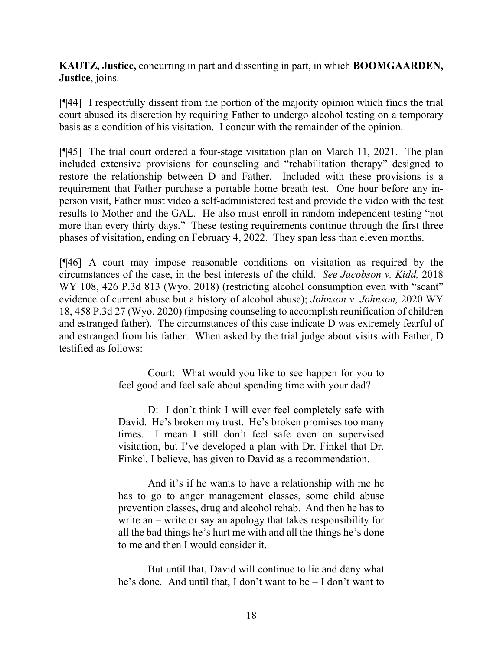**KAUTZ, Justice,** concurring in part and dissenting in part, in which **BOOMGAARDEN, Justice**, joins.

[¶44] I respectfully dissent from the portion of the majority opinion which finds the trial court abused its discretion by requiring Father to undergo alcohol testing on a temporary basis as a condition of his visitation. I concur with the remainder of the opinion.

[¶45] The trial court ordered a four-stage visitation plan on March 11, 2021. The plan included extensive provisions for counseling and "rehabilitation therapy" designed to restore the relationship between D and Father. Included with these provisions is a requirement that Father purchase a portable home breath test. One hour before any inperson visit, Father must video a self-administered test and provide the video with the test results to Mother and the GAL. He also must enroll in random independent testing "not more than every thirty days." These testing requirements continue through the first three phases of visitation, ending on February 4, 2022. They span less than eleven months.

[¶46] A court may impose reasonable conditions on visitation as required by the circumstances of the case, in the best interests of the child. *See Jacobson v. Kidd,* 2018 WY 108, 426 P.3d 813 (Wyo. 2018) (restricting alcohol consumption even with "scant" evidence of current abuse but a history of alcohol abuse); *Johnson v. Johnson,* 2020 WY 18, 458 P.3d 27 (Wyo. 2020) (imposing counseling to accomplish reunification of children and estranged father). The circumstances of this case indicate D was extremely fearful of and estranged from his father. When asked by the trial judge about visits with Father, D testified as follows:

> Court: What would you like to see happen for you to feel good and feel safe about spending time with your dad?

> D: I don't think I will ever feel completely safe with David. He's broken my trust. He's broken promises too many times. I mean I still don't feel safe even on supervised visitation, but I've developed a plan with Dr. Finkel that Dr. Finkel, I believe, has given to David as a recommendation.

> And it's if he wants to have a relationship with me he has to go to anger management classes, some child abuse prevention classes, drug and alcohol rehab. And then he has to write an – write or say an apology that takes responsibility for all the bad things he's hurt me with and all the things he's done to me and then I would consider it.

> But until that, David will continue to lie and deny what he's done. And until that, I don't want to be – I don't want to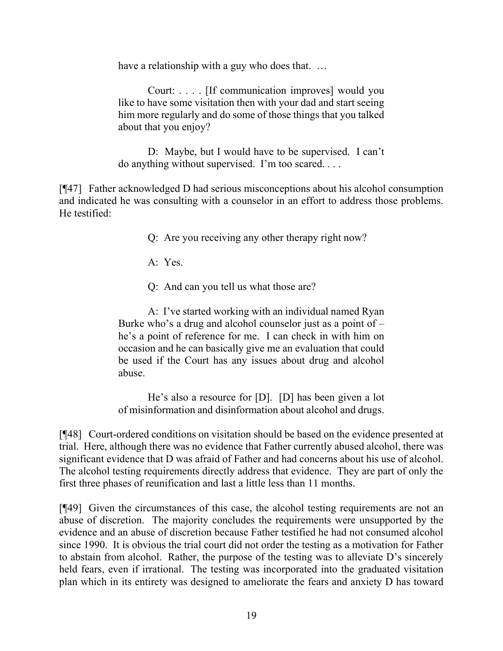have a relationship with a guy who does that. ...

Court: . . . . [If communication improves] would you like to have some visitation then with your dad and start seeing him more regularly and do some of those things that you talked about that you enjoy?

D: Maybe, but I would have to be supervised. I can't do anything without supervised. I'm too scared. . . .

[¶47] Father acknowledged D had serious misconceptions about his alcohol consumption and indicated he was consulting with a counselor in an effort to address those problems. He testified:

Q: Are you receiving any other therapy right now?

A: Yes.

Q: And can you tell us what those are?

A: I've started working with an individual named Ryan Burke who's a drug and alcohol counselor just as a point of – he's a point of reference for me. I can check in with him on occasion and he can basically give me an evaluation that could be used if the Court has any issues about drug and alcohol abuse.

He's also a resource for [D]. [D] has been given a lot of misinformation and disinformation about alcohol and drugs.

[¶48] Court-ordered conditions on visitation should be based on the evidence presented at trial. Here, although there was no evidence that Father currently abused alcohol, there was significant evidence that D was afraid of Father and had concerns about his use of alcohol. The alcohol testing requirements directly address that evidence. They are part of only the first three phases of reunification and last a little less than 11 months.

[¶49] Given the circumstances of this case, the alcohol testing requirements are not an abuse of discretion. The majority concludes the requirements were unsupported by the evidence and an abuse of discretion because Father testified he had not consumed alcohol since 1990. It is obvious the trial court did not order the testing as a motivation for Father to abstain from alcohol. Rather, the purpose of the testing was to alleviate D's sincerely held fears, even if irrational. The testing was incorporated into the graduated visitation plan which in its entirety was designed to ameliorate the fears and anxiety D has toward